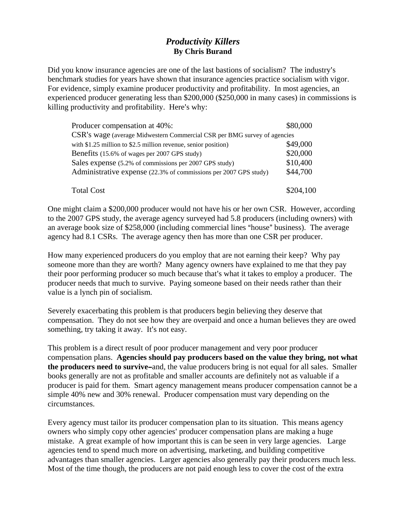## *Productivity Killers*  **By Chris Burand**

Did you know insurance agencies are one of the last bastions of socialism? The industry's benchmark studies for years have shown that insurance agencies practice socialism with vigor. For evidence, simply examine producer productivity and profitability. In most agencies, an experienced producer generating less than \$200,000 (\$250,000 in many cases) in commissions is killing productivity and profitability. Here's why:

| Producer compensation at 40%:                                            | \$80,000  |
|--------------------------------------------------------------------------|-----------|
| CSR's wage (average Midwestern Commercial CSR per BMG survey of agencies |           |
| with \$1.25 million to \$2.5 million revenue, senior position)           | \$49,000  |
| Benefits (15.6% of wages per 2007 GPS study)                             | \$20,000  |
| Sales expense (5.2% of commissions per 2007 GPS study)                   | \$10,400  |
| Administrative expense (22.3% of commissions per 2007 GPS study)         | \$44,700  |
|                                                                          |           |
| <b>Total Cost</b>                                                        | \$204.100 |

One might claim a \$200,000 producer would not have his or her own CSR. However, according to the 2007 GPS study, the average agency surveyed had 5.8 producers (including owners) with an average book size of \$258,000 (including commercial lines "house" business). The average agency had 8.1 CSRs. The average agency then has more than one CSR per producer.

How many experienced producers do you employ that are not earning their keep? Why pay someone more than they are worth? Many agency owners have explained to me that they pay their poor performing producer so much because that's what it takes to employ a producer. The producer needs that much to survive. Paying someone based on their needs rather than their value is a lynch pin of socialism.

Severely exacerbating this problem is that producers begin believing they deserve that compensation. They do not see how they are overpaid and once a human believes they are owed something, try taking it away. It's not easy.

This problem is a direct result of poor producer management and very poor producer compensation plans. **Agencies should pay producers based on the value they bring, not what the producers need to survive-and, the value producers bring is not equal for all sales. Smaller** books generally are not as profitable and smaller accounts are definitely not as valuable if a producer is paid for them. Smart agency management means producer compensation cannot be a simple 40% new and 30% renewal. Producer compensation must vary depending on the circumstances.

Every agency must tailor its producer compensation plan to its situation. This means agency owners who simply copy other agencies' producer compensation plans are making a huge mistake. A great example of how important this is can be seen in very large agencies. Large agencies tend to spend much more on advertising, marketing, and building competitive advantages than smaller agencies. Larger agencies also generally pay their producers much less. Most of the time though, the producers are not paid enough less to cover the cost of the extra